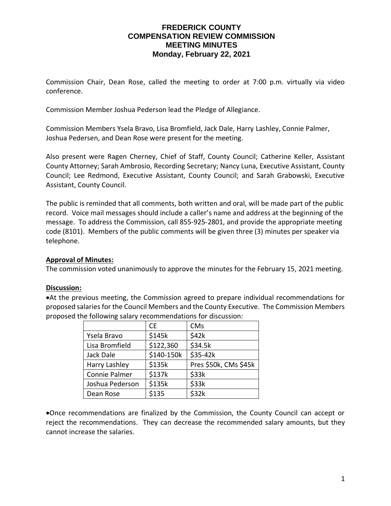## **FREDERICK COUNTY COMPENSATION REVIEW COMMISSION MEETING MINUTES Monday, February 22, 2021**

Commission Chair, Dean Rose, called the meeting to order at 7:00 p.m. virtually via video conference.

Commission Member Joshua Pederson lead the Pledge of Allegiance.

Commission Members Ysela Bravo, Lisa Bromfield, Jack Dale, Harry Lashley, Connie Palmer, Joshua Pedersen, and Dean Rose were present for the meeting.

Also present were Ragen Cherney, Chief of Staff, County Council; Catherine Keller, Assistant County Attorney; Sarah Ambrosio, Recording Secretary; Nancy Luna, Executive Assistant, County Council; Lee Redmond, Executive Assistant, County Council; and Sarah Grabowski, Executive Assistant, County Council.

The public is reminded that all comments, both written and oral, will be made part of the public record. Voice mail messages should include a caller's name and address at the beginning of the message. To address the Commission, call 855-925-2801, and provide the appropriate meeting code (8101). Members of the public comments will be given three (3) minutes per speaker via telephone.

## **Approval of Minutes:**

The commission voted unanimously to approve the minutes for the February 15, 2021 meeting.

#### **Discussion:**

•At the previous meeting, the Commission agreed to prepare individual recommendations for proposed salaries for the Council Members and the County Executive. The Commission Members proposed the following salary recommendations for discussion:

|                 | СE         | <b>CMs</b>            |
|-----------------|------------|-----------------------|
| Ysela Bravo     | \$145k     | \$42k                 |
| Lisa Bromfield  | \$122,360  | \$34.5k               |
| Jack Dale       | \$140-150k | \$35-42k              |
| Harry Lashley   | \$135k     | Pres \$50k, CMs \$45k |
| Connie Palmer   | \$137k     | \$33k                 |
| Joshua Pederson | \$135k     | \$33k                 |
| Dean Rose       | \$135      | \$32k                 |

•Once recommendations are finalized by the Commission, the County Council can accept or reject the recommendations. They can decrease the recommended salary amounts, but they cannot increase the salaries.